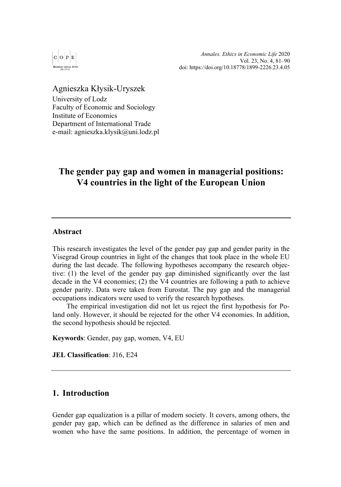

*Annales. Ethics in Economic Life* 2020 Vol. 23, No. 4, 81–90 doi[: https://doi.org/10.18778/1899-2226.23.4.05](https://doi.org/10.18778/1899-2226.23.4.05) 

Agnieszka Kłysik-Uryszek University of Lodz Faculty of Economic and Sociology Institute of Economics Department of International Trade e-mail: agnieszka.klysik@uni.lodz.pl

# **The gender pay gap and women in managerial positions: V4 countries in the light of the European Union**

#### **Abstract**

This research investigates the level of the gender pay gap and gender parity in the Visegrad Group countries in light of the changes that took place in the whole EU during the last decade. The following hypotheses accompany the research objective: (1) the level of the gender pay gap diminished significantly over the last decade in the V4 economies; (2) the V4 countries are following a path to achieve gender parity. Data were taken from Eurostat. The pay gap and the managerial occupations indicators were used to verify the research hypotheses.

The empirical investigation did not let us reject the first hypothesis for Poland only. However, it should be rejected for the other V4 economies. In addition, the second hypothesis should be rejected.

**Keywords**: Gender, pay gap, women, V4, EU

**JEL Classification**: J16, E24

## **1. Introduction**

Gender gap equalization is a pillar of modern society. It covers, among others, the gender pay gap, which can be defined as the difference in salaries of men and women who have the same positions. In addition, the percentage of women in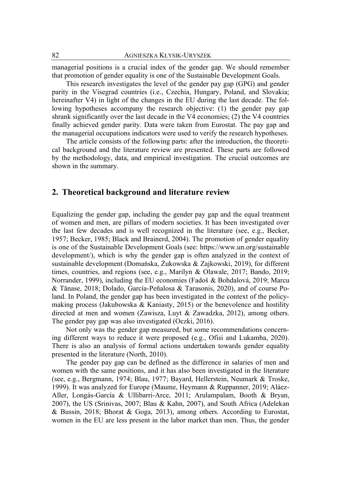managerial positions is a crucial index of the gender gap. We should remember that promotion of gender equality is one of the Sustainable Development Goals.

This research investigates the level of the gender pay gap (GPG) and gender parity in the Visegrad countries (i.e., Czechia, Hungary, Poland, and Slovakia; hereinafter V4) in light of the changes in the EU during the last decade. The following hypotheses accompany the research objective: (1) the gender pay gap shrank significantly over the last decade in the V4 economies; (2) the V4 countries finally achieved gender parity. Data were taken from Eurostat. The pay gap and the managerial occupations indicators were used to verify the research hypotheses.

The article consists of the following parts: after the introduction, the theoretical background and the literature review are presented. These parts are followed by the methodology, data, and empirical investigation. The crucial outcomes are shown in the summary.

#### **2. Theoretical background and literature review**

Equalizing the gender gap, including the gender pay gap and the equal treatment of women and men, are pillars of modern societies. It has been investigated over the last few decades and is well recognized in the literature (see, e.g., Becker, 1957; Becker, 1985; Black and Brainerd, 2004). The promotion of gender equality is one of the Sustainable Development Goals (see[: https://www.un.org/sustainable](https://www.un.org/sustainable%20development/)  [development/\)](https://www.un.org/sustainable%20development/), which is why the gender gap is often analyzed in the context of sustainable development (Domańska, Żukowska & Zajkowski, 2019), for different times, countries, and regions (see, e.g., Marilyn & Olawale, 2017; Bando, 2019; Norrander, 1999), including the EU economies (Fadoš & Bohdalová, 2019; Marcu & Tănase, 2018; Dolado, García-Peñalosa & Tarasonis, 2020), and of course Poland. In Poland, the gender gap has been investigated in the context of the policymaking process (Jakubowska & Kaniasty, 2015) or the benevolence and hostility directed at men and women (Zawisza, Luyt & Zawadzka, 2012), among others. The gender pay gap was also investigated (Oczki, 2016).

Not only was the gender gap measured, but some recommendations concerning different ways to reduce it were proposed (e.g., Ofisi and Lukamba, 2020). There is also an analysis of formal actions undertaken towards gender equality presented in the literature (North, 2010).

The gender pay gap can be defined as the difference in salaries of men and women with the same positions, and it has also been investigated in the literature (see, e.g., Bergmann, 1974; Blau, 1977; Bayard, Hellerstein, Neumark & Troske, 1999). It was analyzed for Europe (Maume, Heymann & Ruppanner, 2019; Aláez-Aller, Longás-García & Ullibarri-Arce, 2011; Arulampalam, Booth & Bryan, 2007), the US (Srinivas, 2007; Blau & Kahn, 2007), and South Africa (Adelekan & Bussin, 2018; Bhorat & Goga, 2013), among others. According to Eurostat, women in the EU are less present in the labor market than men. Thus, the gender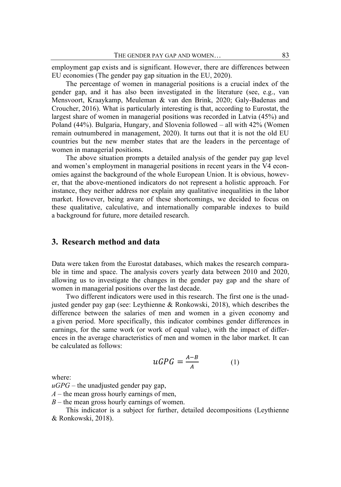employment gap exists and is significant. However, there are differences between EU economies (The gender pay gap situation in the EU, 2020).

The percentage of women in managerial positions is a crucial index of the gender gap, and it has also been investigated in the literature (see, e.g., van Mensvoort, Kraaykamp, Meuleman & van den Brink, 2020; Galy-Badenas and Croucher, 2016). What is particularly interesting is that, according to Eurostat, the largest share of women in managerial positions was recorded in Latvia (45%) and Poland (44%). Bulgaria, Hungary, and Slovenia followed – all with 42% (Women remain outnumbered in management, 2020). It turns out that it is not the old EU countries but the new member states that are the leaders in the percentage of women in managerial positions.

The above situation prompts a detailed analysis of the gender pay gap level and women's employment in managerial positions in recent years in the V4 economies against the background of the whole European Union. It is obvious, however, that the above-mentioned indicators do not represent a holistic approach. For instance, they neither address nor explain any qualitative inequalities in the labor market. However, being aware of these shortcomings, we decided to focus on these qualitative, calculative, and internationally comparable indexes to build a background for future, more detailed research.

### **3. Research method and data**

Data were taken from the Eurostat databases, which makes the research comparable in time and space. The analysis covers yearly data between 2010 and 2020, allowing us to investigate the changes in the gender pay gap and the share of women in managerial positions over the last decade.

Two different indicators were used in this research. The first one is the unadjusted gender pay gap (see: Leythienne & Ronkowski, 2018), which describes the difference between the salaries of men and women in a given economy and a given period. More specifically, this indicator combines gender differences in earnings, for the same work (or work of equal value), with the impact of differences in the average characteristics of men and women in the labor market. It can be calculated as follows:

$$
uGPG = \frac{A-B}{A} \tag{1}
$$

where:

 $\mu GPG$  – the unadjusted gender pay gap,

- *A* the mean gross hourly earnings of men,
- *B* the mean gross hourly earnings of women.

This indicator is a subject for further, detailed decompositions (Leythienne & Ronkowski, 2018).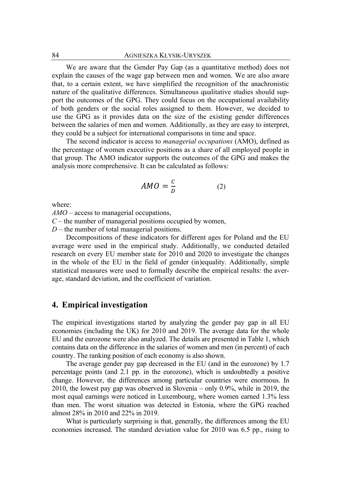We are aware that the Gender Pay Gap (as a quantitative method) does not explain the causes of the wage gap between men and women. We are also aware that, to a certain extent, we have simplified the recognition of the anachronistic nature of the qualitative differences. Simultaneous qualitative studies should support the outcomes of the GPG. They could focus on the occupational availability of both genders or the social roles assigned to them. However, we decided to use the GPG as it provides data on the size of the existing gender differences between the salaries of men and women. Additionally, as they are easy to interpret, they could be a subject for international comparisons in time and space.

The second indicator is access to *managerial occupations* (AMO), defined as the percentage of women executive positions as a share of all employed people in that group. The AMO indicator supports the outcomes of the GPG and makes the analysis more comprehensive. It can be calculated as follows:

$$
AMO = \frac{c}{D} \tag{2}
$$

where:

*AMO* – access to managerial occupations,

*C* – the number of managerial positions occupied by women,

*D* – the number of total managerial positions.

Decompositions of these indicators for different ages for Poland and the EU average were used in the empirical study. Additionally, we conducted detailed research on every EU member state for 2010 and 2020 to investigate the changes in the whole of the EU in the field of gender (in)equality. Additionally, simple statistical measures were used to formally describe the empirical results: the average, standard deviation, and the coefficient of variation.

### **4. Empirical investigation**

The empirical investigations started by analyzing the gender pay gap in all EU economies (including the UK) for 2010 and 2019. The average data for the whole EU and the eurozone were also analyzed. The details are presented in Table 1, which contains data on the difference in the salaries of women and men (in percent) of each country. The ranking position of each economy is also shown.

The average gender pay gap decreased in the EU (and in the eurozone) by 1.7 percentage points (and 2.1 pp. in the eurozone), which is undoubtedly a positive change. However, the differences among particular countries were enormous. In 2010, the lowest pay gap was observed in Slovenia – only 0.9%, while in 2019, the most equal earnings were noticed in Luxembourg, where women earned 1.3% less than men. The worst situation was detected in Estonia, where the GPG reached almost 28% in 2010 and 22% in 2019.

What is particularly surprising is that, generally, the differences among the EU economies increased. The standard deviation value for 2010 was 6.5 pp., rising to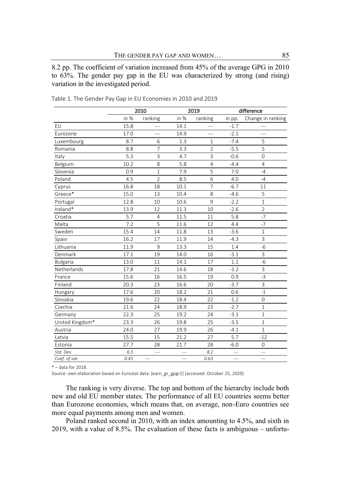8.2 pp. The coefficient of variation increased from 45% of the average GPG in 2010 to 63%. The gender pay gap in the EU was characterized by strong (and rising) variation in the investigated period.

|                 |      | 2010           |                | 2019           | difference |                   |  |
|-----------------|------|----------------|----------------|----------------|------------|-------------------|--|
|                 | in % | ranking        | in %           | ranking        | in pp.     | Change in ranking |  |
| EU              | 15.8 | ---            | 14.1           | ---            | $-1.7$     |                   |  |
| Eurozone        | 17.0 | ---            | 14.9           | $---$          | $-2.1$     | ---               |  |
| Luxembourg      | 8.7  | 6              | 1.3            | $\mathbf{1}$   | $-7.4$     | 5                 |  |
| Romania         | 8.8  | $\overline{7}$ | 3.3            | $\overline{2}$ | $-5.5$     | 5                 |  |
| Italy           | 5.3  | $\overline{3}$ | 4.7            | 3              | $-0.6$     | $\overline{0}$    |  |
| Belgium         | 10.2 | 8              | 5.8            | $\overline{4}$ | $-4.4$     | $\overline{4}$    |  |
| Slovenia        | 0.9  | $\mathbf{1}$   | 7.9            | 5              | 7.0        | $-4$              |  |
| Poland          | 4.5  | $\overline{2}$ | 8.5            | 6              | 4.0        | $-4$              |  |
| Cyprus          | 16.8 | 18             | 10.1           | $\overline{7}$ | $-6.7$     | 11                |  |
| Greece*         | 15.0 | 13             | 10.4           | 8              | $-4.6$     | 5                 |  |
| Portugal        | 12.8 | 10             | 10.6           | 9              | $-2.2$     | $\mathbf{1}$      |  |
| Ireland*        | 13.9 | 12             | 11.3           | 10             | $-2.6$     | $\overline{2}$    |  |
| Croatia         | 5.7  | $\overline{4}$ | 11.5           | 11             | 5.8        | $-7$              |  |
| Malta           | 7.2  | 5              | 11.6           | 12             | 4.4        | $-7$              |  |
| Sweden          | 15.4 | 14             | 11.8           | 13             | $-3.6$     | $\mathbf{1}$      |  |
| Spain           | 16.2 | 17             | 11.9           | 14             | $-4.3$     | 3                 |  |
| Lithuania       | 11.9 | 9              | 13.3           | 15             | 1.4        | $-6$              |  |
| Denmark         | 17.1 | 19             | 14.0           | 16             | $-3.1$     | 3                 |  |
| <b>Bulgaria</b> | 13.0 | 11             | 14.1           | 17             | 1.1        | $-6$              |  |
| Netherlands     | 17.8 | 21             | 14.6           | 18             | $-3.2$     | 3                 |  |
| France          | 15.6 | 16             | 16.5           | 19             | 0.9        | $-3$              |  |
| Finland         | 20.3 | 23             | 16.6           | 20             | $-3.7$     | 3                 |  |
| Hungary         | 17.6 | 20             | 18.2           | 21             | 0.6        | $-1$              |  |
| Slovakia        | 19.6 | 22             | 18.4           | 22             | $-1.2$     | $\overline{0}$    |  |
| Czechia         | 21.6 | 24             | 18.9           | 23             | $-2.7$     | $\mathbf{1}$      |  |
| Germany         | 22.3 | 25             | 19.2           | 24             | $-3.1$     | $\mathbf{1}$      |  |
| United Kingdom* | 23.3 | 26             | 19.8           | 25             | $-3.5$     | $\mathbf{1}$      |  |
| Austria         | 24.0 | 27             | 19.9           | 26             | $-4.1$     | $\mathbf{1}$      |  |
| Latvia          | 15.5 | 15             | 21.2           | 27             | 5.7        | $-12$             |  |
| Estonia         | 27.7 | 28             | 21.7           | 28             | $-6.0$     | 0                 |  |
| Std. Dev.       | 6.5  | ---            |                | 8.2            |            |                   |  |
| Coef. of var.   | 0.45 | $\sim$         | $\overline{a}$ | 0.63           | $\sim$     | and a             |  |

Table 1. The Gender Pay Gap in EU Economies in 2010 and 2019

\* – data for 2018.

Source: own elaboration based on Eurostat data: [earn\_gr\_gpgr2] (accessed: October 25, 2020)

The ranking is very diverse. The top and bottom of the hierarchy include both new and old EU member states. The performance of all EU countries seems better than Eurozone economies, which means that, on average, non-Euro countries see more equal payments among men and women.

Poland ranked second in 2010, with an index amounting to 4.5%, and sixth in 2019, with a value of 8.5%. The evaluation of these facts is ambiguous – unfortu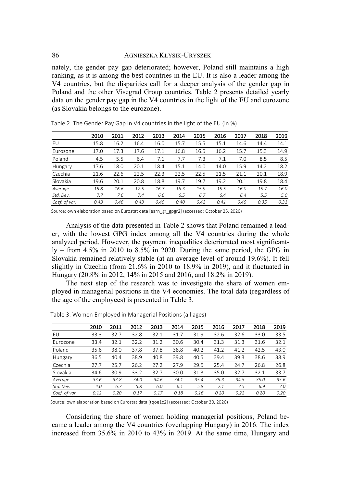nately, the gender pay gap deteriorated; however, Poland still maintains a high ranking, as it is among the best countries in the EU. It is also a leader among the V4 countries, but the disparities call for a deeper analysis of the gender gap in Poland and the other Visegrad Group countries. Table 2 presents detailed yearly data on the gender pay gap in the V4 countries in the light of the EU and eurozone (as Slovakia belongs to the eurozone).

|                 | 2010 | 2011 | 2012 | 2013 | 2014 | 2015 | 2016 | 2017 | 2018 | 2019 |
|-----------------|------|------|------|------|------|------|------|------|------|------|
| EU              | 15.8 | 16.2 | 16.4 | 16.0 | 15.7 | 15.5 | 15.1 | 14.6 | 14.4 | 14.1 |
| <b>Furozone</b> | 17.0 | 17.3 | 17.6 | 17.1 | 16.8 | 16.5 | 16.2 | 15.7 | 15.3 | 14.9 |
| Poland          | 4.5  | 5.5  | 6.4  | 7.1  | 7.7  | 7.3  | 7.1  | 7.0  | 8.5  | 8.5  |
| Hungary         | 17.6 | 18.0 | 20.1 | 18.4 | 15.1 | 14.0 | 14.0 | 15.9 | 14.2 | 18.2 |
| Czechia         | 21.6 | 22.6 | 22.5 | 22.3 | 22.5 | 22.5 | 21.5 | 21.1 | 20.1 | 18.9 |
| Slovakia        | 19.6 | 20.1 | 20.8 | 18.8 | 19.7 | 19.7 | 19.2 | 20.1 | 19.8 | 18.4 |
| Average         | 15.8 | 16.6 | 17.5 | 16.7 | 16.3 | 15.9 | 15.5 | 16.0 | 15.7 | 16.0 |
| Std. Dev.       | 7.7  | 7.6  | 7.4  | 6.6  | 6.5  | 6.7  | 6.4  | 6.4  | 5.5  | 5.0  |
| Coef. of var.   | 0.49 | 0.46 | 0.43 | 0.40 | 0.40 | 0.42 | 0.41 | 0.40 | 0.35 | 0.31 |

Table 2. The Gender Pay Gap in V4 countries in the light of the EU (in %)

Source: own elaboration based on Eurostat data [earn\_gr\_gpgr2] (accessed: October 25, 2020)

Analysis of the data presented in Table 2 shows that Poland remained a leader, with the lowest GPG index among all the V4 countries during the whole analyzed period. However, the payment inequalities deteriorated most significantly – from 4.5% in 2010 to 8.5% in 2020. During the same period, the GPG in Slovakia remained relatively stable (at an average level of around 19.6%). It fell slightly in Czechia (from 21.6% in 2010 to 18.9% in 2019), and it fluctuated in Hungary (20.8% in 2012, 14% in 2015 and 2016, and 18.2% in 2019).

The next step of the research was to investigate the share of women employed in managerial positions in the V4 economies. The total data (regardless of the age of the employees) is presented in Table 3.

|               | 2010 | 2011 | 2012 | 2013 | 2014 | 2015 | 2016 | 2017 | 2018 | 2019 |
|---------------|------|------|------|------|------|------|------|------|------|------|
| EU            | 33.3 | 32.7 | 32.8 | 32.1 | 31.7 | 31.9 | 32.6 | 32.6 | 33.0 | 33.5 |
| Eurozone      | 33.4 | 32.1 | 32.2 | 31.2 | 30.6 | 30.4 | 31.3 | 31.3 | 31.6 | 32.1 |
| Poland        | 35.6 | 38.0 | 37.8 | 37.8 | 38.8 | 40.2 | 41.2 | 41.2 | 42.5 | 43.0 |
| Hungary       | 36.5 | 40.4 | 38.9 | 40.8 | 39.8 | 40.5 | 39.4 | 39.3 | 38.6 | 38.9 |
| Czechia       | 27.7 | 25.7 | 26.2 | 27.2 | 27.9 | 29.5 | 25.4 | 24.7 | 26.8 | 26.8 |
| Slovakia      | 34.6 | 30.9 | 33.2 | 32.7 | 30.0 | 31.3 | 35.0 | 32.7 | 32.1 | 33.7 |
| Average       | 33.6 | 33.8 | 34.0 | 34.6 | 34.1 | 35.4 | 35.3 | 34.5 | 35.0 | 35.6 |
| Std. Dev.     | 4.0  | 6.7  | 5.8  | 6.0  | 6.1  | 5.8  | 7.1  | 7.5  | 6.9  | 7.0  |
| Coef. of var. | 0.12 | 0.20 | 0.17 | 0.17 | 0.18 | 0.16 | 0.20 | 0.22 | 0.20 | 0.20 |

Table 3. Women Employed in Managerial Positions (all ages)

Source: own elaboration based on Eurostat data [tqoe1c2] (accessed: October 30, 2020)

Considering the share of women holding managerial positions, Poland became a leader among the V4 countries (overlapping Hungary) in 2016. The index increased from 35.6% in 2010 to 43% in 2019. At the same time, Hungary and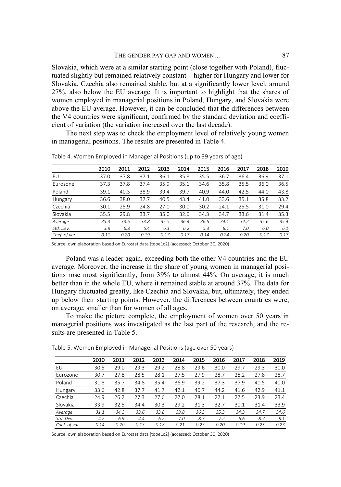Slovakia, which were at a similar starting point (close together with Poland), fluctuated slightly but remained relatively constant – higher for Hungary and lower for Slovakia. Czechia also remained stable, but at a significantly lower level, around 27%, also below the EU average. It is important to highlight that the shares of women employed in managerial positions in Poland, Hungary, and Slovakia were above the EU average. However, it can be concluded that the differences between the V4 countries were significant, confirmed by the standard deviation and coefficient of variation (the variation increased over the last decade).

The next step was to check the employment level of relatively young women in managerial positions. The results are presented in Table 4.

|                 | 2010 | 2011 | 2012 | 2013 | 2014 | 2015 | 2016 | 2017 | 2018 | 2019 |
|-----------------|------|------|------|------|------|------|------|------|------|------|
| EU              | 37.0 | 37.8 | 37.1 | 36.1 | 35.8 | 35.5 | 36.7 | 36.4 | 36.9 | 37.1 |
| <b>Furozone</b> | 37.3 | 37.8 | 37.4 | 35.9 | 35.1 | 34.6 | 35.8 | 35.5 | 36.0 | 36.5 |
| Poland          | 39.1 | 40.3 | 38.9 | 39.4 | 39.7 | 40.9 | 44.0 | 42.5 | 44.0 | 43.8 |
| Hungary         | 36.6 | 38.0 | 37.7 | 40.5 | 43.4 | 41.0 | 33.6 | 35.1 | 35.8 | 33.2 |
| Czechia         | 30.1 | 25.9 | 24.8 | 27.0 | 30.0 | 30.2 | 24.1 | 25.5 | 31.0 | 29.4 |
| Slovakia        | 35.5 | 29.8 | 33.7 | 35.0 | 32.6 | 34.3 | 34.7 | 33.6 | 31.4 | 35.3 |
| Average         | 35.3 | 33.5 | 33.8 | 35.5 | 36.4 | 36.6 | 34.1 | 34.2 | 35.6 | 35.4 |
| Std. Dev.       | 3.8  | 6.8  | 6.4  | 6.1  | 6.2  | 5.3  | 8.1  | 7.0  | 6.0  | 6.1  |
| Coef. of var.   | 0.11 | 0.20 | 0.19 | 0.17 | 0.17 | 0.14 | 0.24 | 0.20 | 0.17 | 0.17 |

Table 4. Women Employed in Managerial Positions (up to 39 years of age)

Source: own elaboration based on Eurostat data [tqoe1c2] (accessed: October 30, 2020)

Poland was a leader again, exceeding both the other V4 countries and the EU average. Moreover, the increase in the share of young women in managerial positions rose most significantly, from 39% to almost 44%. On average, it is much better than in the whole EU, where it remained stable at around 37%. The data for Hungary fluctuated greatly, like Czechia and Slovakia, but, ultimately, they ended up below their starting points. However, the differences between countries were, on average, smaller than for women of all ages.

To make the picture complete, the employment of women over 50 years in managerial positions was investigated as the last part of the research, and the results are presented in Table 5.

|                 | 2010 | 2011 | 2012 | 2013 | 2014 | 2015 | 2016 | 2017 | 2018 | 2019 |
|-----------------|------|------|------|------|------|------|------|------|------|------|
| EU              | 30.5 | 29.0 | 29.3 | 29.2 | 28.8 | 29.6 | 30.0 | 29.7 | 29.3 | 30.0 |
| <b>Furozone</b> | 30.7 | 27.8 | 28.5 | 28.1 | 27.5 | 27.9 | 28.7 | 28.2 | 27.8 | 28.7 |
| Poland          | 31.8 | 35.7 | 34.8 | 35.4 | 36.9 | 39.2 | 37.3 | 37.9 | 40.5 | 40.0 |
| Hungary         | 33.6 | 42.8 | 37.7 | 41.7 | 42.1 | 46.7 | 44.2 | 41.6 | 42.9 | 41.1 |
| Czechia         | 24.9 | 26.2 | 27.3 | 27.6 | 27.0 | 28.1 | 27.1 | 27.5 | 23.9 | 23.4 |
| Slovakia        | 33.9 | 32.5 | 34.4 | 30.3 | 29.2 | 31.3 | 32.7 | 30.1 | 31.4 | 33.9 |
| Average         | 31.1 | 34.3 | 33.6 | 33.8 | 33.8 | 36.3 | 35.3 | 34.3 | 34.7 | 34.6 |
| Std. Dev.       | 4.2  | 6.9  | 4.4  | 6.2  | 7.0  | 8.3  | 7.2  | 6.6  | 8.7  | 8.1  |
| Coef. of var.   | 0.14 | 0.20 | 0.13 | 0.18 | 0.21 | 0.23 | 0.20 | 0.19 | 0.25 | 0.23 |

Table 5. Women Employed in Managerial Positions (age over 50 years)

Source: own elaboration based on Eurostat data [tqoe1c2] (accessed: October 30, 2020)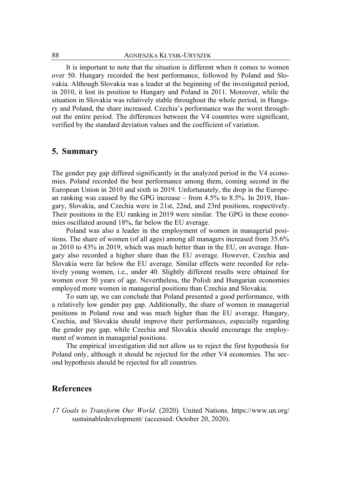It is important to note that the situation is different when it comes to women over 50. Hungary recorded the best performance, followed by Poland and Slovakia. Although Slovakia was a leader at the beginning of the investigated period, in 2010, it lost its position to Hungary and Poland in 2011. Moreover, while the situation in Slovakia was relatively stable throughout the whole period, in Hungary and Poland, the share increased. Czechia's performance was the worst throughout the entire period. The differences between the V4 countries were significant, verified by the standard deviation values and the coefficient of variation.

### **5. Summary**

The gender pay gap differed significantly in the analyzed period in the V4 economies. Poland recorded the best performance among them, coming second in the European Union in 2010 and sixth in 2019. Unfortunately, the drop in the European ranking was caused by the GPG increase – from 4.5% to 8.5%. In 2019, Hungary, Slovakia, and Czechia were in 21st, 22nd, and 23rd positions, respectively. Their positions in the EU ranking in 2019 were similar. The GPG in these economies oscillated around 18%, far below the EU average.

Poland was also a leader in the employment of women in managerial positions. The share of women (of all ages) among all managers increased from 35.6% in 2010 to 43% in 2019, which was much better than in the EU, on average. Hungary also recorded a higher share than the EU average. However, Czechia and Slovakia were far below the EU average. Similar effects were recorded for relatively young women, i.e., under 40. Slightly different results were obtained for women over 50 years of age. Nevertheless, the Polish and Hungarian economies employed more women in managerial positions than Czechia and Slovakia.

To sum up, we can conclude that Poland presented a good performance, with a relatively low gender pay gap. Additionally, the share of women in managerial positions in Poland rose and was much higher than the EU average. Hungary, Czechia, and Slovakia should improve their performances, especially regarding the gender pay gap, while Czechia and Slovakia should encourage the employment of women in managerial positions.

The empirical investigation did not allow us to reject the first hypothesis for Poland only, although it should be rejected for the other V4 economies. The second hypothesis should be rejected for all countries.

### **References**

*17 Goals to Transform Our World*. (2020). United Nations. [https://www.un.org/](https://www.un.org/sustainabledevelopment/)  [sustainabledevelopment/](https://www.un.org/sustainabledevelopment/) (accessed: October 20, 2020).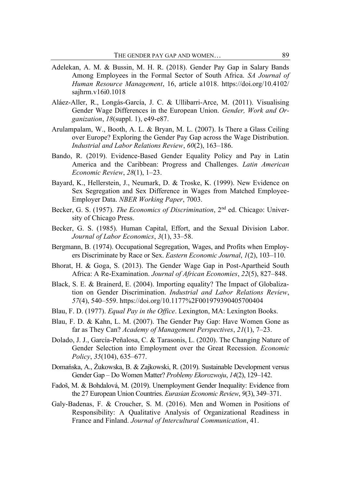- Adelekan, A. M. & Bussin, M. H. R. (2018). Gender Pay Gap in Salary Bands Among Employees in the Formal Sector of South Africa. *SA Journal of Human Resource Management*, 16, article a1018. [https://doi.org/10.4102/](https://doi.org/10.4102/%20sajhrm.v16i0.1018)  [sajhrm.v16i0.1018](https://doi.org/10.4102/%20sajhrm.v16i0.1018)
- Aláez-Aller, R., Longás-García, J. C. & Ullibarri-Arce, M. (2011). Visualising Gender Wage Differences in the European Union. *Gender, Work and Organization*, *18*(suppl. 1), e49-e87.
- Arulampalam, W., Booth, A. L. & Bryan, M. L. (2007). Is There a Glass Ceiling over Europe? Exploring the Gender Pay Gap across the Wage Distribution. *Industrial and Labor Relations Review*, *60*(2), 163–186.
- Bando, R. (2019). Evidence-Based Gender Equality Policy and Pay in Latin America and the Caribbean: Progress and Challenges. *Latin American Economic Review*, *28*(1), 1–23.
- Bayard, K., Hellerstein, J., Neumark, D. & Troske, K. (1999). New Evidence on Sex Segregation and Sex Difference in Wages from Matched Employee-Employer Data. *NBER Working Paper*, 7003.
- Becker, G. S. (1957). *The Economics of Discrimination*, 2nd ed. Chicago: University of Chicago Press.
- Becker, G. S. (1985). Human Capital, Effort, and the Sexual Division Labor. *Journal of Labor Economics*, *3*(1), 33–58.
- Bergmann, B. (1974). Occupational Segregation, Wages, and Profits when Employers Discriminate by Race or Sex. *Eastern Economic Journal*, *1*(2), 103–110.
- Bhorat, H. & Goga, S. (2013). The Gender Wage Gap in Post-Apartheid South Africa: A Re-Examination. *Journal of African Economies*, *22*(5), 827–848.
- Black, S. E. & Brainerd, E. (2004). Importing equality? The Impact of Globalization on Gender Discrimination. *Industrial and Labor Relations Review*, *57*(4), 540–55[9. https://doi.org/10.1177%2F001979390405700404](https://doi.org/10.1177%2F001979390405700404)
- Blau, F. D. (1977). *Equal Pay in the Office*. Lexington, MA: Lexington Books.
- Blau, F. D. & Kahn, L. M. (2007). The Gender Pay Gap: Have Women Gone as far as They Can? *Academy of Management Perspectives*, *21*(1), 7–23.
- Dolado, J. J., García-Peñalosa, C. & Tarasonis, L. (2020). The Changing Nature of Gender Selection into Employment over the Great Recession. *Economic Policy*, *35*(104), 635–677.
- Domańska, A., Żukowska, B. & Zajkowski, R. (2019). Sustainable Development versus Gender Gap – Do Women Matter? *Problemy Ekorozwoju*, *14*(2), 129–142.
- Fadoš, M. & Bohdalová, M. (2019). Unemployment Gender Inequality: Evidence from the 27 European Union Countries. *Eurasian Economic Review*, *9*(3), 349–371.
- Galy-Badenas, F. & Croucher, S. M. (2016). Men and Women in Positions of Responsibility: A Qualitative Analysis of Organizational Readiness in France and Finland. *Journal of Intercultural Communication*, 41.